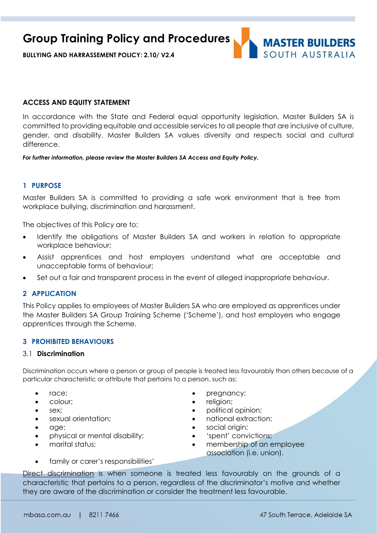

### **ACCESS AND EQUITY STATEMENT**

In accordance with the State and Federal equal opportunity legislation, Master Builders SA is committed to providing equitable and accessible services to all people that are inclusive of culture, gender, and disability. Master Builders SA values diversity and respects social and cultural difference.

*For further information, please review the Master Builders SA Access and Equity Policy.*

### **1 PURPOSE**

Master Builders SA is committed to providing a safe work environment that is free from workplace bullying, discrimination and harassment.

The objectives of this Policy are to:

- Identify the obligations of Master Builders SA and workers in relation to appropriate workplace behaviour;
- Assist apprentices and host employers understand what are acceptable and unacceptable forms of behaviour;
- Set out a fair and transparent process in the event of alleged inappropriate behaviour.

### **2 APPLICATION**

This Policy applies to employees of Master Builders SA who are employed as apprentices under the Master Builders SA Group Training Scheme ('Scheme'), and host employers who engage apprentices through the Scheme.

#### **3 PROHIBITED BEHAVIOURS**

#### 3.1 **Discrimination**

Discrimination occurs where a person or group of people is treated less favourably than others because of a particular characteristic or attribute that pertains to a person, such as:

- 
- 
- 
- 
- 
- physical or mental disability;  $\qquad \qquad \bullet$  'spent' convictions;
- 
- family or carer's responsibilities'
- race; expressions are pregnancy;
- colour; expression; expression; expression; expression; expression; expression; expression; expression; expression; expression; expression; expression; expression; expression; expression; expression; expression; expressi
- sex; external opinion; external opinion; external opinion; external opinion; external opinion; external opinion; external opinion; external opinion; external opinion; external opinion; external opinion; external opinion;
	- sexual orientation;  $\qquad \qquad \bullet \qquad$  national extraction;
- age; social origin;
	-
- marital status;  $\bullet$  membership of an employee association (i.e. union).

Direct discrimination is when someone is treated less favourably on the grounds of a characteristic that pertains to a person, regardless of the discriminator's motive and whether they are aware of the discrimination or consider the treatment less favourable.

**MASTER BUILDERS** SOUTH AUSTRALIA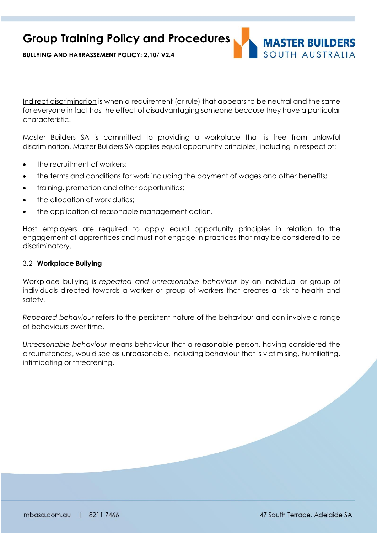

**BULLYING AND HARRASSEMENT POLICY: 2.10/ V2.4**

Indirect discrimination is when a requirement (or rule) that appears to be neutral and the same for everyone in fact has the effect of disadvantaging someone because they have a particular characteristic.

Master Builders SA is committed to providing a workplace that is free from unlawful discrimination. Master Builders SA applies equal opportunity principles, including in respect of:

- the recruitment of workers;
- the terms and conditions for work including the payment of wages and other benefits;
- training, promotion and other opportunities;
- the allocation of work duties;
- the application of reasonable management action.

Host employers are required to apply equal opportunity principles in relation to the engagement of apprentices and must not engage in practices that may be considered to be discriminatory.

### 3.2 **Workplace Bullying**

Workplace bullying is *repeated and unreasonable behaviour* by an individual or group of individuals directed towards a worker or group of workers that creates a risk to health and safety.

*Repeated behaviour* refers to the persistent nature of the behaviour and can involve a range of behaviours over time.

*Unreasonable behaviour* means behaviour that a reasonable person, having considered the circumstances, would see as unreasonable, including behaviour that is victimising, humiliating, intimidating or threatening.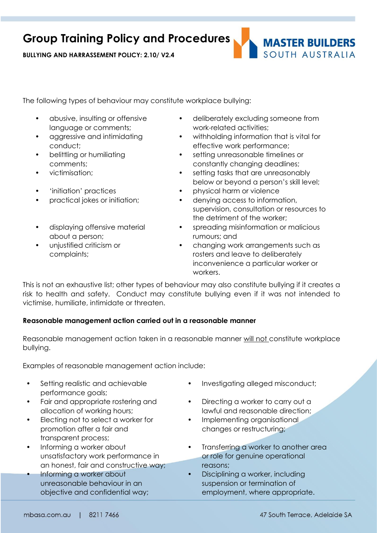**BULLYING AND HARRASSEMENT POLICY: 2.10/ V2.4**



The following types of behaviour may constitute workplace bullying:

- abusive, insulting or offensive language or comments;
- aggressive and intimidating conduct;
- belittling or humiliating comments;
- 
- 
- 
- displaying offensive material about a person;
- unjustified criticism or complaints;
- deliberately excluding someone from work-related activities;
- withholding information that is vital for effective work performance;
- setting unreasonable timelines or constantly changing deadlines;
- victimisation; setting tasks that are unreasonably below or beyond a person's skill level;
- 'initiation' practices physical harm or violence
	- practical jokes or initiation; denying access to information, supervision, consultation or resources to the detriment of the worker;
		- spreading misinformation or malicious rumours; and
		- changing work arrangements such as rosters and leave to deliberately inconvenience a particular worker or workers.

This is not an exhaustive list; other types of behaviour may also constitute bullying if it creates a risk to health and safety. Conduct may constitute bullying even if it was not intended to victimise, humiliate, intimidate or threaten.

### **Reasonable management action carried out in a reasonable manner**

Reasonable management action taken in a reasonable manner will not constitute workplace bullying.

Examples of reasonable management action include:

- Setting realistic and achievable performance goals;
- Fair and appropriate rostering and allocation of working hours;
- Electing not to select a worker for promotion after a fair and transparent process;
- Informing a worker about unsatisfactory work performance in an honest, fair and constructive way;
- Informing a worker about unreasonable behaviour in an objective and confidential way;
- Investigating alleged misconduct;
- Directing a worker to carry out a lawful and reasonable direction;
- Implementing organisational changes or restructuring;
- Transferring a worker to another area or role for genuine operational reasons;
- Disciplining a worker, including suspension or termination of employment, where appropriate.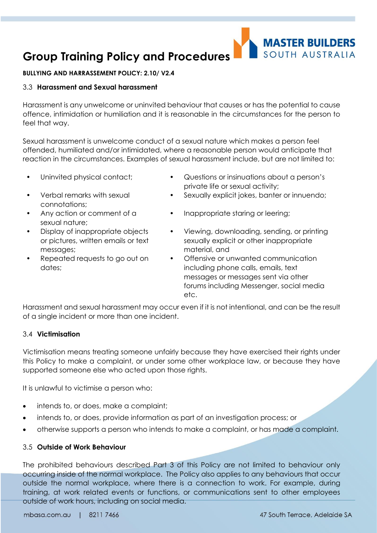### **BULLYING AND HARRASSEMENT POLICY: 2.10/ V2.4**

### 3.3 **Harassment and Sexual harassment**

Harassment is any unwelcome or uninvited behaviour that causes or has the potential to cause offence, intimidation or humiliation and it is reasonable in the circumstances for the person to feel that way.

Sexual harassment is unwelcome conduct of a sexual nature which makes a person feel offended, humiliated and/or intimidated, where a reasonable person would anticipate that reaction in the circumstances. Examples of sexual harassment include, but are not limited to:

- 
- Verbal remarks with sexual connotations;
- Any action or comment of a sexual nature;
- Display of inappropriate objects or pictures, written emails or text messages;
- Repeated requests to go out on dates;

• Uninvited physical contact; • Questions or insinuations about a person's private life or sexual activity;

**MASTER BUILDERS** 

SOUTH AUSTRALIA

- Sexually explicit jokes, banter or innuendo;
- Inappropriate staring or leering;
- Viewing, downloading, sending, or printing sexually explicit or other inappropriate material, and
- Offensive or unwanted communication including phone calls, emails, text messages or messages sent via other forums including Messenger, social media etc.

Harassment and sexual harassment may occur even if it is not intentional, and can be the result of a single incident or more than one incident.

### 3.4 **Victimisation**

Victimisation means treating someone unfairly because they have exercised their rights under this Policy to make a complaint, or under some other workplace law, or because they have supported someone else who acted upon those rights.

It is unlawful to victimise a person who:

- intends to, or does, make a complaint;
- intends to, or does, provide information as part of an investigation process; or
- otherwise supports a person who intends to make a complaint, or has made a complaint.

### 3.5 **Outside of Work Behaviour**

The prohibited behaviours described Part 3 of this Policy are not limited to behaviour only occurring inside of the normal workplace. The Policy also applies to any behaviours that occur outside the normal workplace, where there is a connection to work. For example, during training, at work related events or functions, or communications sent to other employees outside of work hours, including on social media.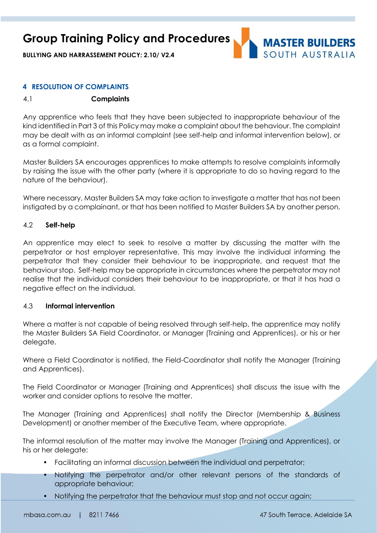**BULLYING AND HARRASSEMENT POLICY: 2.10/ V2.4**



### **4 RESOLUTION OF COMPLAINTS**

### 4.1 **Complaints**

Any apprentice who feels that they have been subjected to inappropriate behaviour of the kind identified in Part 3 of this Policy may make a complaint about the behaviour. The complaint may be dealt with as an informal complaint (see self-help and informal intervention below), or as a formal complaint.

Master Builders SA encourages apprentices to make attempts to resolve complaints informally by raising the issue with the other party (where it is appropriate to do so having regard to the nature of the behaviour).

Where necessary, Master Builders SA may take action to investigate a matter that has not been instigated by a complainant, or that has been notified to Master Builders SA by another person.

### 4.2 **Self-help**

An apprentice may elect to seek to resolve a matter by discussing the matter with the perpetrator or host employer representative. This may involve the individual informing the perpetrator that they consider their behaviour to be inappropriate, and request that the behaviour stop. Self-help may be appropriate in circumstances where the perpetrator may not realise that the individual considers their behaviour to be inappropriate, or that it has had a negative effect on the individual.

### 4.3 **Informal intervention**

Where a matter is not capable of being resolved through self-help, the apprentice may notify the Master Builders SA Field Coordinator, or Manager (Training and Apprentices), or his or her delegate.

Where a Field Coordinator is notified, the Field-Coordinator shall notify the Manager (Training and Apprentices).

The Field Coordinator or Manager (Training and Apprentices) shall discuss the issue with the worker and consider options to resolve the matter.

The Manager (Training and Apprentices) shall notify the Director (Membership & Business Development) or another member of the Executive Team, where appropriate.

The informal resolution of the matter may involve the Manager (Training and Apprentices), or his or her delegate:

- Facilitating an informal discussion between the individual and perpetrator;
- Notifying the perpetrator and/or other relevant persons of the standards of appropriate behaviour;
- Notifying the perpetrator that the behaviour must stop and not occur again;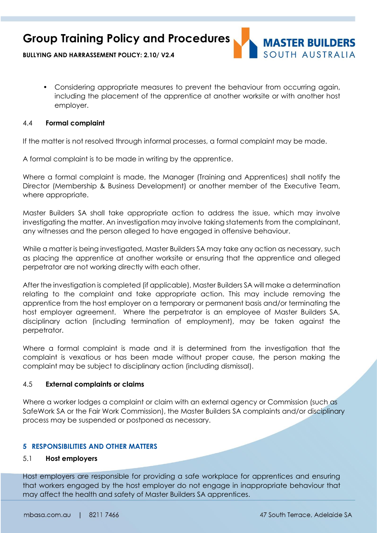

**BULLYING AND HARRASSEMENT POLICY: 2.10/ V2.4**

• Considering appropriate measures to prevent the behaviour from occurring again, including the placement of the apprentice at another worksite or with another host employer.

### 4.4 **Formal complaint**

If the matter is not resolved through informal processes, a formal complaint may be made.

A formal complaint is to be made in writing by the apprentice.

Where a formal complaint is made, the Manager (Training and Apprentices) shall notify the Director (Membership & Business Development) or another member of the Executive Team, where appropriate.

Master Builders SA shall take appropriate action to address the issue, which may involve investigating the matter. An investigation may involve taking statements from the complainant, any witnesses and the person alleged to have engaged in offensive behaviour.

While a matter is being investigated, Master Builders SA may take any action as necessary, such as placing the apprentice at another worksite or ensuring that the apprentice and alleged perpetrator are not working directly with each other.

After the investigation is completed (if applicable), Master Builders SA will make a determination relating to the complaint and take appropriate action. This may include removing the apprentice from the host employer on a temporary or permanent basis and/or terminating the host employer agreement. Where the perpetrator is an employee of Master Builders SA, disciplinary action (including termination of employment), may be taken against the perpetrator.

Where a formal complaint is made and it is determined from the investigation that the complaint is vexatious or has been made without proper cause, the person making the complaint may be subject to disciplinary action (including dismissal).

### 4.5 **External complaints or claims**

Where a worker lodges a complaint or claim with an external agency or Commission (such as SafeWork SA or the Fair Work Commission), the Master Builders SA complaints and/or disciplinary process may be suspended or postponed as necessary.

### **5 RESPONSIBILITIES AND OTHER MATTERS**

### 5.1 **Host employers**

Host employers are responsible for providing a safe workplace for apprentices and ensuring that workers engaged by the host employer do not engage in inappropriate behaviour that may affect the health and safety of Master Builders SA apprentices.